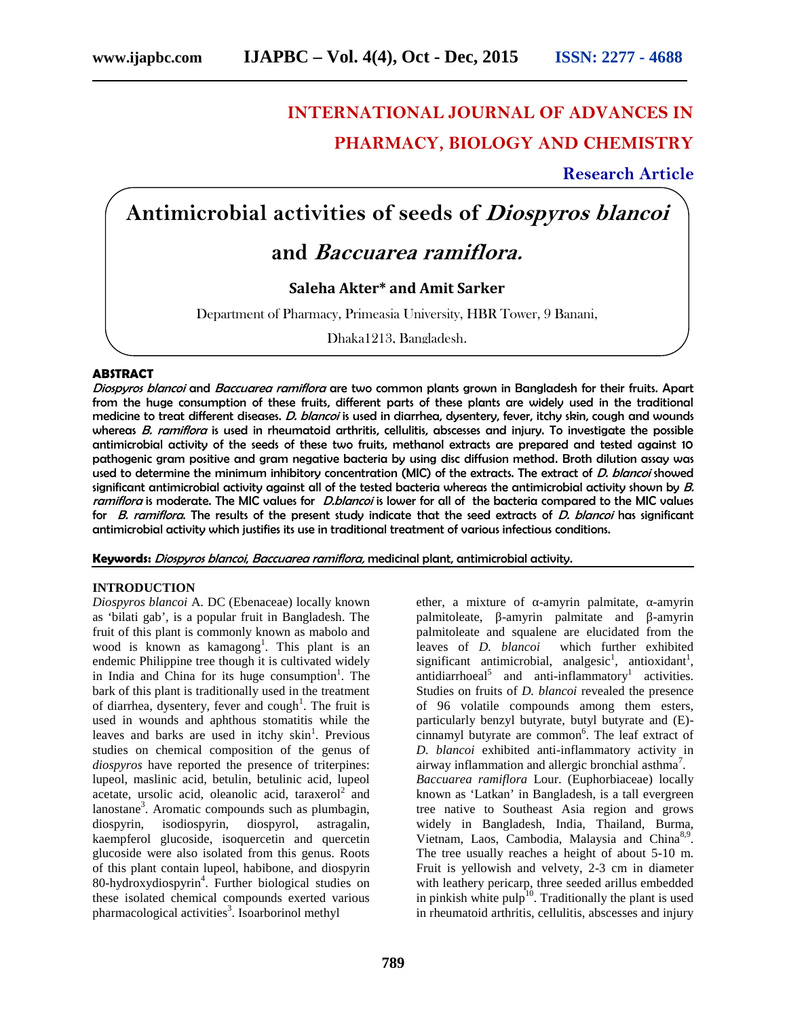# **INTERNATIONAL JOURNAL OF ADVANCES IN PHARMACY, BIOLOGY AND CHEMISTRY**

**Research Article**

# **Antimicrobial activities of seeds of** *Diospyros blancoi*

# **and** *Baccuarea ramiflora.*

# **Saleha Akter\* and Amit Sarker**

Department of Pharmacy, Primeasia University, HBR Tower, 9 Banani,

Dhaka1213, Bangladesh.

# **ABSTRACT**

*Diospyros blancoi* and *Baccuarea ramiflora* are two common plants grown in Bangladesh for their fruits. Apart from the huge consumption of these fruits, different parts of these plants are widely used in the traditional medicine to treat different diseases. *D. blancoi* is used in diarrhea, dysentery, fever, itchy skin, cough and wounds whereas *B. ramiflora* is used in rheumatoid arthritis, cellulitis, abscesses and injury. To investigate the possible antimicrobial activity of the seeds of these two fruits, methanol extracts are prepared and tested against 10 pathogenic gram positive and gram negative bacteria by using disc diffusion method. Broth dilution assay was used to determine the minimum inhibitory concentration (MIC) of the extracts. The extract of *D. blancoi* showed significant antimicrobial activity against all of the tested bacteria whereas the antimicrobial activity shown by *B. ramiflora* is moderate. The MIC values for *D.blancoi* is lower for all of the bacteria compared to the MIC values for *B. ramiflora*. The results of the present study indicate that the seed extracts of *D. blancoi* has significant antimicrobial activity which justifies its use in traditional treatment of various infectious conditions.

**Keywords:** *Diospyros blancoi*, *Baccuarea ramiflora,* medicinal plant, antimicrobial activity.

# **INTRODUCTION**

*Diospyros blancoi* A. DC (Ebenaceae) locally known as 'bilati gab', is a popular fruit in Bangladesh. The fruit of this plant is commonly known as mabolo and wood is known as kamagong<sup>1</sup>. This plant is an endemic Philippine tree though it is cultivated widely in India and China for its huge consumption<sup>1</sup>. The bark of this plant is traditionally used in the treatment of diarrhea, dysentery, fever and cough<sup>1</sup>. The fruit is used in wounds and aphthous stomatitis while the leaves and barks are used in itchy skin<sup>1</sup>. Previous studies on chemical composition of the genus of *diospyros* have reported the presence of triterpines: lupeol, maslinic acid, betulin, betulinic acid, lupeol acetate, ursolic acid, oleanolic acid, taraxerol<sup>2</sup> and lanostane<sup>3</sup>. Aromatic compounds such as plumbagin, diospyrin, isodiospyrin, diospyrol, astragalin, kaempferol glucoside, isoquercetin and quercetin glucoside were also isolated from this genus. Roots of this plant contain lupeol, habibone, and diospyrin 80-hydroxydiospyrin<sup>4</sup> . Further biological studies on these isolated chemical compounds exerted various pharmacological activities<sup>3</sup>. Isoarborinol methyl

ether, a mixture of -amyrin palmitate, -amyrin palmitoleate, -amyrin palmitate and -amyrin palmitoleate and squalene are elucidated from the leaves of *D. blancoi* which further exhibited significant antimicrobial, analgesic<sup>1</sup>, antioxidant<sup>1</sup>, antidiarrhoeal<sup>5</sup> and anti-inflammatory<sup>1</sup> activities. Studies on fruits of *D. blancoi* revealed the presence of 96 volatile compounds among them esters, particularly benzyl butyrate, butyl butyrate and (E) cinnamyl butyrate are common<sup>6</sup>. The leaf extract of *D. blancoi* exhibited anti-inflammatory activity in airway inflammation and allergic bronchial asthma<sup>7</sup>. *Baccuarea ramiflora* Lour. (Euphorbiaceae) locally known as 'Latkan' in Bangladesh, is a tall evergreen tree native to Southeast Asia region and grows widely in Bangladesh, India, Thailand, Burma, Vietnam, Laos, Cambodia, Malaysia and China<sup>8,9</sup>. The tree usually reaches a height of about 5-10 m. Fruit is yellowish and velvety, 2-3 cm in diameter with leathery pericarp, three seeded arillus embedded in pinkish white pulp<sup>10</sup>. Traditionally the plant is used in rheumatoid arthritis, cellulitis, abscesses and injury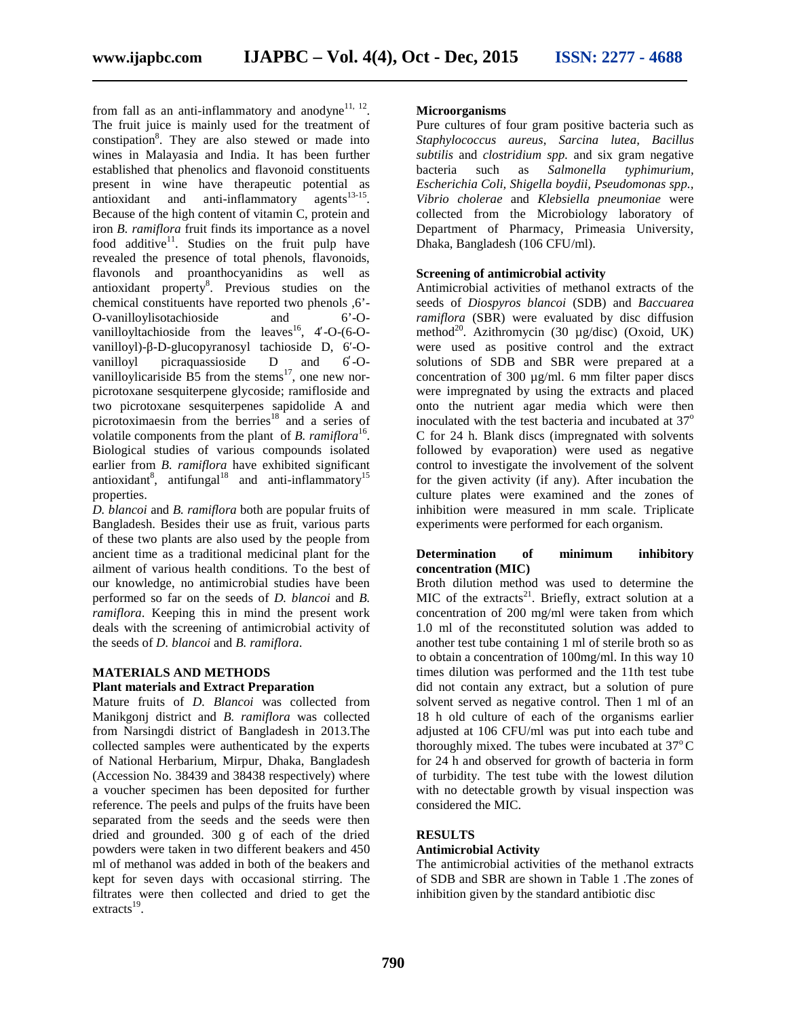from fall as an anti-inflammatory and anodyne $^{11, 12}$ . The fruit juice is mainly used for the treatment of constipation<sup>8</sup>. They are also stewed or made into wines in Malayasia and India. It has been further established that phenolics and flavonoid constituents present in wine have therapeutic potential as  $\text{antis}^{13-15}$ . Because of the high content of vitamin C, protein and iron *B. ramiflora* fruit finds its importance as a novel food additive<sup>11</sup>. Studies on the fruit pulp have revealed the presence of total phenols, flavonoids, flavonols and proanthocyanidins as well as antioxidant property<sup>8</sup>. Previous studies on the chemical constituents have reported two phenols ,6'- O-vanilloylisotachioside and 6'-O vanilloyltachioside from the leaves<sup>16</sup>, 4-O- $(6$ -Ovanilloyl)- -D-glucopyranosyl tachioside D, 6 -O vanilloyl picraquassioside D and 6 -O vanilloylicariside B5 from the stems<sup>17</sup>, one new norpicrotoxane sesquiterpene glycoside; ramifloside and two picrotoxane sesquiterpenes sapidolide A and picrotoximaesin from the berries<sup>18</sup> and a series of volatile components from the plant of *B. ramiflora*<sup>16</sup>. Biological studies of various compounds isolated earlier from *B. ramiflora* have exhibited significant antioxidant<sup>8</sup>, antifungal<sup>18</sup> and anti-inflammatory<sup>15</sup> properties.

*D. blancoi* and *B. ramiflora* both are popular fruits of Bangladesh. Besides their use as fruit, various parts of these two plants are also used by the people from ancient time as a traditional medicinal plant for the ailment of various health conditions. To the best of our knowledge, no antimicrobial studies have been performed so far on the seeds of *D. blancoi* and *B. ramiflora*. Keeping this in mind the present work deals with the screening of antimicrobial activity of the seeds of *D. blancoi* and *B. ramiflora*.

# **MATERIALS AND METHODS**

# **Plant materials and Extract Preparation**

Mature fruits of *D. Blancoi* was collected from Manikgonj district and *B. ramiflora* was collected from Narsingdi district of Bangladesh in 2013.The collected samples were authenticated by the experts of National Herbarium, Mirpur, Dhaka, Bangladesh (Accession No. 38439 and 38438 respectively) where a voucher specimen has been deposited for further reference. The peels and pulps of the fruits have been separated from the seeds and the seeds were then dried and grounded. 300 g of each of the dried powders were taken in two different beakers and 450 ml of methanol was added in both of the beakers and kept for seven days with occasional stirring. The filtrates were then collected and dried to get the  $extracts<sup>19</sup>$ . .

# **Microorganisms**

Pure cultures of four gram positive bacteria such as *Staphylococcus aureus*, *Sarcina lutea, Bacillus subtilis* and *clostridium spp.* and six gram negative bacteria such as *Salmonella typhimurium, Escherichia Coli, Shigella boydii, Pseudomonas spp., Vibrio cholerae* and *Klebsiella pneumoniae* were collected from the Microbiology laboratory of Department of Pharmacy, Primeasia University, Dhaka, Bangladesh (106 CFU/ml).

#### **Screening of antimicrobial activity**

Antimicrobial activities of methanol extracts of the seeds of *Diospyros blancoi* (SDB) and *Baccuarea ramiflora* (SBR) were evaluated by disc diffusion method<sup>20</sup>. Azithromycin (30 µg/disc) (Oxoid, UK) were used as positive control and the extract solutions of SDB and SBR were prepared at a concentration of 300  $\mu$ g/ml. 6 mm filter paper discs were impregnated by using the extracts and placed onto the nutrient agar media which were then inoculated with the test bacteria and incubated at  $37^\circ$ C for 24 h. Blank discs (impregnated with solvents followed by evaporation) were used as negative control to investigate the involvement of the solvent for the given activity (if any). After incubation the culture plates were examined and the zones of inhibition were measured in mm scale. Triplicate experiments were performed for each organism.

### **Determination of minimum inhibitory concentration (MIC)**

Broth dilution method was used to determine the MIC of the extracts<sup>21</sup>. Briefly, extract solution at a concentration of 200 mg/ml were taken from which 1.0 ml of the reconstituted solution was added to another test tube containing 1 ml of sterile broth so as to obtain a concentration of 100mg/ml. In this way 10 times dilution was performed and the 11th test tube did not contain any extract, but a solution of pure solvent served as negative control. Then 1 ml of an 18 h old culture of each of the organisms earlier adjusted at 106 CFU/ml was put into each tube and thoroughly mixed. The tubes were incubated at  $37^{\circ}$ C for 24 h and observed for growth of bacteria in form of turbidity. The test tube with the lowest dilution with no detectable growth by visual inspection was considered the MIC.

# **RESULTS**

### **Antimicrobial Activity**

The antimicrobial activities of the methanol extracts of SDB and SBR are shown in Table 1 .The zones of inhibition given by the standard antibiotic disc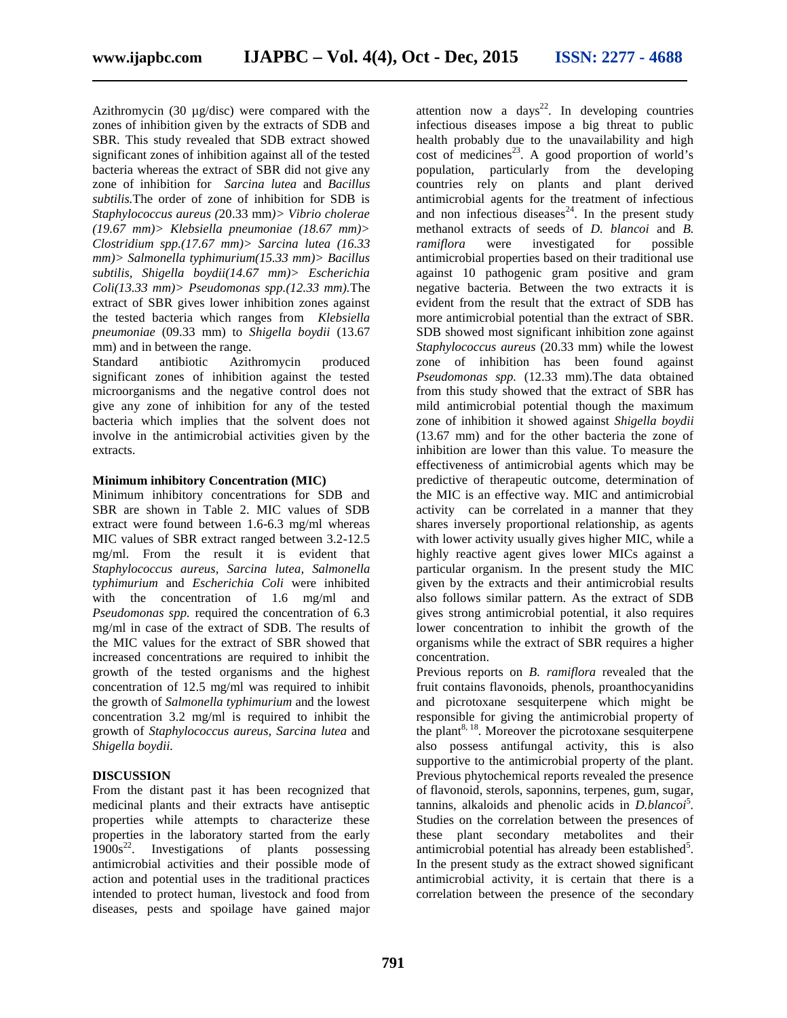Azithromycin (30 µg/disc) were compared with the zones of inhibition given by the extracts of SDB and SBR. This study revealed that SDB extract showed significant zones of inhibition against all of the tested bacteria whereas the extract of SBR did not give any zone of inhibition for *Sarcina lutea* and *Bacillus subtilis.*The order of zone of inhibition for SDB is *Staphylococcus aureus (*20.33 mm*)> Vibrio cholerae (19.67 mm)> Klebsiella pneumoniae (18.67 mm)> Clostridium spp.(17.67 mm)> Sarcina lutea (16.33 mm)> Salmonella typhimurium(15.33 mm)> Bacillus subtilis, Shigella boydii(14.67 mm)> Escherichia Coli(13.33 mm)> Pseudomonas spp.(12.33 mm).*The extract of SBR gives lower inhibition zones against the tested bacteria which ranges from *Klebsiella pneumoniae* (09.33 mm) to *Shigella boydii* (13.67 mm) and in between the range.

Standard antibiotic Azithromycin produced significant zones of inhibition against the tested microorganisms and the negative control does not give any zone of inhibition for any of the tested bacteria which implies that the solvent does not involve in the antimicrobial activities given by the extracts.

## **Minimum inhibitory Concentration (MIC)**

Minimum inhibitory concentrations for SDB and SBR are shown in Table 2. MIC values of SDB extract were found between 1.6-6.3 mg/ml whereas MIC values of SBR extract ranged between 3.2-12.5 mg/ml. From the result it is evident that *Staphylococcus aureus, Sarcina lutea, Salmonella typhimurium* and *Escherichia Coli* were inhibited with the concentration of 1.6 mg/ml and *Pseudomonas spp.* required the concentration of 6.3 mg/ml in case of the extract of SDB. The results of the MIC values for the extract of SBR showed that increased concentrations are required to inhibit the growth of the tested organisms and the highest concentration of 12.5 mg/ml was required to inhibit the growth of *Salmonella typhimurium* and the lowest concentration 3.2 mg/ml is required to inhibit the growth of *Staphylococcus aureus, Sarcina lutea* and *Shigella boydii.*

# **DISCUSSION**

From the distant past it has been recognized that medicinal plants and their extracts have antiseptic properties while attempts to characterize these properties in the laboratory started from the early  $1900s<sup>22</sup>$ . Investigations of plants possessing antimicrobial activities and their possible mode of action and potential uses in the traditional practices intended to protect human, livestock and food from diseases, pests and spoilage have gained major

attention now a days<sup>22</sup>. In developing countries infectious diseases impose a big threat to public health probably due to the unavailability and high cost of medicines<sup>23</sup>. A good proportion of world's population, particularly from the developing countries rely on plants and plant derived antimicrobial agents for the treatment of infectious and non infectious diseases<sup>24</sup>. In the present study methanol extracts of seeds of *D. blancoi* and *B.* were investigated for possible antimicrobial properties based on their traditional use against 10 pathogenic gram positive and gram negative bacteria. Between the two extracts it is evident from the result that the extract of SDB has more antimicrobial potential than the extract of SBR. SDB showed most significant inhibition zone against *Staphylococcus aureus* (20.33 mm) while the lowest zone of inhibition has been found against *Pseudomonas spp.* (12.33 mm).The data obtained from this study showed that the extract of SBR has mild antimicrobial potential though the maximum zone of inhibition it showed against *Shigella boydii* (13.67 mm) and for the other bacteria the zone of inhibition are lower than this value. To measure the effectiveness of antimicrobial agents which may be predictive of therapeutic outcome, determination of the MIC is an effective way. MIC and antimicrobial activity can be correlated in a manner that they shares inversely proportional relationship, as agents with lower activity usually gives higher MIC, while a highly reactive agent gives lower MICs against a particular organism. In the present study the MIC given by the extracts and their antimicrobial results also follows similar pattern. As the extract of SDB gives strong antimicrobial potential, it also requires lower concentration to inhibit the growth of the organisms while the extract of SBR requires a higher concentration.

Previous reports on *B. ramiflora* revealed that the fruit contains flavonoids, phenols, proanthocyanidins and picrotoxane sesquiterpene which might be responsible for giving the antimicrobial property of the plant<sup>8, 18</sup>. Moreover the picrotoxane sesquiterpene also possess antifungal activity, this is also supportive to the antimicrobial property of the plant. Previous phytochemical reports revealed the presence of flavonoid, sterols, saponnins, terpenes, gum, sugar, tannins, alkaloids and phenolic acids in *D.blancoi*<sup>5</sup>. Studies on the correlation between the presences of these plant secondary metabolites and their antimicrobial potential has already been established<sup>5</sup>. In the present study as the extract showed significant antimicrobial activity, it is certain that there is a correlation between the presence of the secondary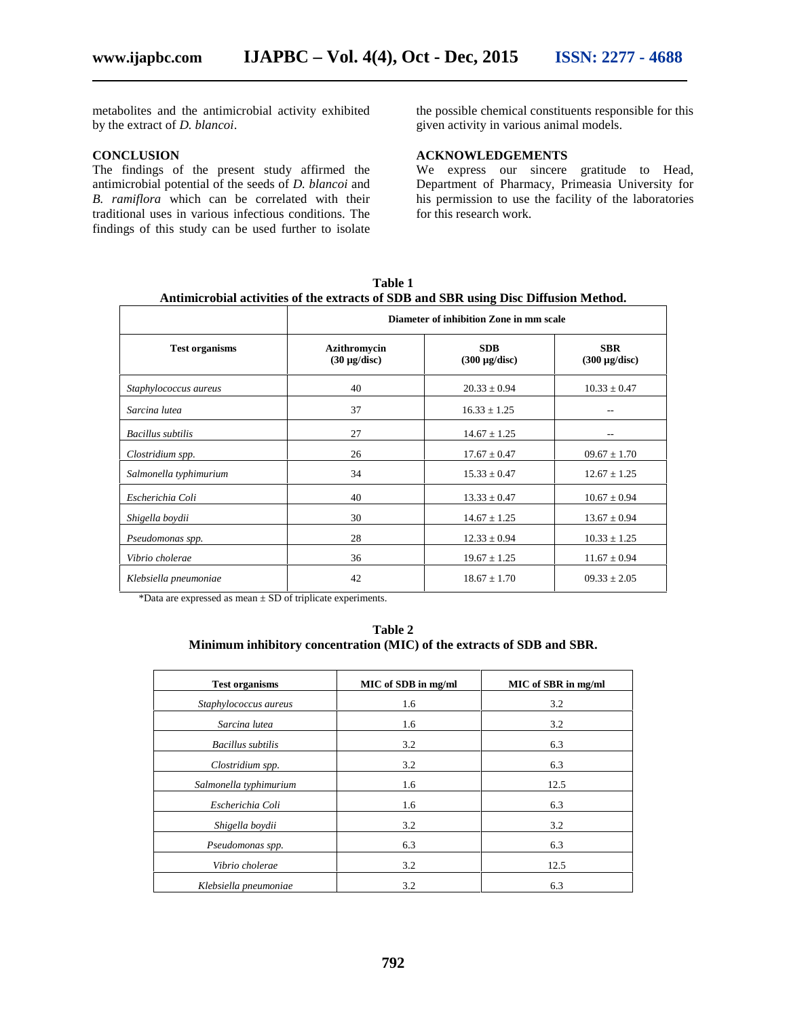metabolites and the antimicrobial activity exhibited by the extract of *D. blancoi*.

#### **CONCLUSION**

The findings of the present study affirmed the antimicrobial potential of the seeds of *D. blancoi* and *B. ramiflora* which can be correlated with their traditional uses in various infectious conditions. The findings of this study can be used further to isolate the possible chemical constituents responsible for this given activity in various animal models.

# **ACKNOWLEDGEMENTS**

We express our sincere gratitude to Head, Department of Pharmacy, Primeasia University for his permission to use the facility of the laboratories for this research work.

|                        | Diameter of inhibition Zone in mm scale  |                                  |                                  |
|------------------------|------------------------------------------|----------------------------------|----------------------------------|
| <b>Test organisms</b>  | <b>Azithromycin</b><br>$(30 \mu g/disc)$ | <b>SDB</b><br>$(300 \mu g/disc)$ | <b>SBR</b><br>$(300 \mu g/disc)$ |
| Staphylococcus aureus  | 40                                       | $20.33 \pm 0.94$                 | $10.33 \pm 0.47$                 |
| Sarcina lutea          | 37                                       | $16.33 \pm 1.25$                 |                                  |
| Bacillus subtilis      | 27                                       | $14.67 \pm 1.25$                 | --                               |
| Clostridium spp.       | 26                                       | $17.67 \pm 0.47$                 | $09.67 \pm 1.70$                 |
| Salmonella typhimurium | 34                                       | $15.33 \pm 0.47$                 | $12.67 \pm 1.25$                 |
| Escherichia Coli       | 40                                       | $13.33 \pm 0.47$                 | $10.67 \pm 0.94$                 |
| Shigella boydii        | 30                                       | $14.67 \pm 1.25$                 | $13.67 \pm 0.94$                 |
| Pseudomonas spp.       | 28                                       | $12.33 \pm 0.94$                 | $10.33 \pm 1.25$                 |
| Vibrio cholerae        | 36                                       | $19.67 \pm 1.25$                 | $11.67 \pm 0.94$                 |
| Klebsiella pneumoniae  | 42                                       | $18.67 \pm 1.70$                 | $09.33 \pm 2.05$                 |

**Table 1**

\*Data are expressed as mean ± SD of triplicate experiments.

**Table 2 Minimum inhibitory concentration (MIC) of the extracts of SDB and SBR.**

| <b>Test organisms</b>    | MIC of SDB in mg/ml | MIC of SBR in mg/ml |
|--------------------------|---------------------|---------------------|
| Staphylococcus aureus    | 1.6                 | 3.2                 |
| Sarcina lutea            | 1.6                 | 3.2                 |
| <b>Bacillus</b> subtilis | 3.2                 | 6.3                 |
| Clostridium spp.         | 3.2                 | 6.3                 |
| Salmonella typhimurium   | 1.6                 | 12.5                |
| Escherichia Coli         | 1.6                 | 6.3                 |
| Shigella boydii          | 3.2                 | 3.2                 |
| Pseudomonas spp.         | 6.3                 | 6.3                 |
| Vibrio cholerae          | 3.2                 | 12.5                |
| Klebsiella pneumoniae    | 3.2                 | 6.3                 |